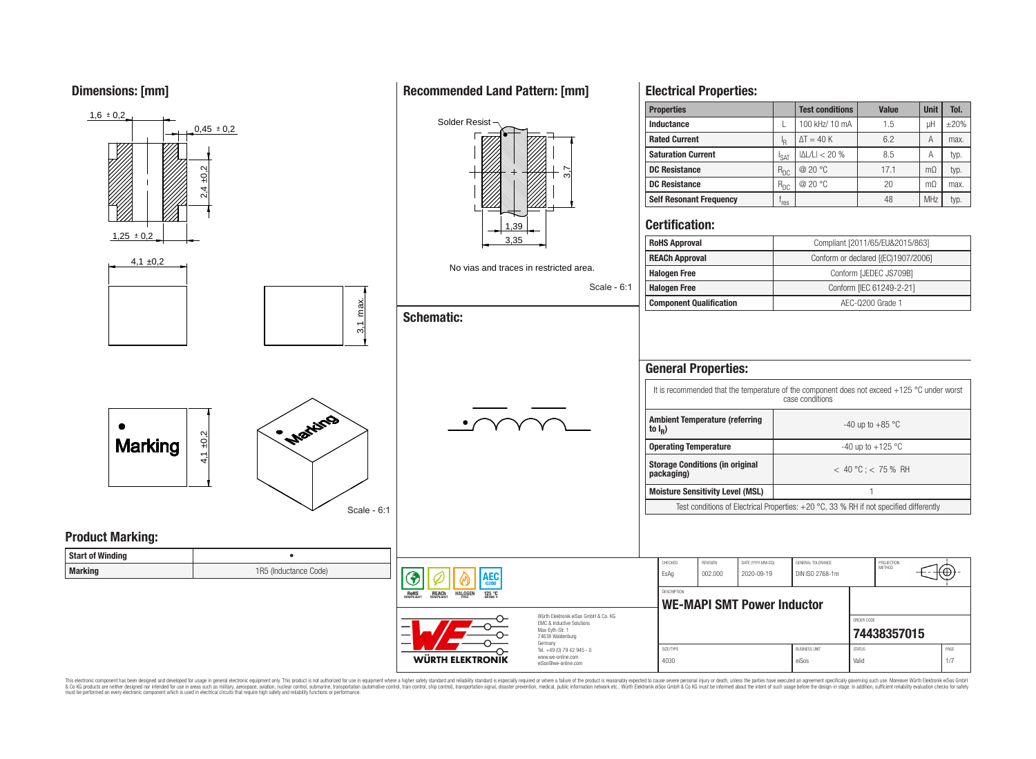**Dimensions: [mm]**



This electronic component has been designed and developed for usage in general electronic equipment only. This product is not authorized for use in equipment where a higher safety standard and reliability standard is espec & Ook product a label and the membed of the seasuch as marked and as which such a membed and the such assume that income in the seasuch and the simulation and the such assume that include to the such a membed and the such

# **Recommended Land Pattern: [mm]**

**Electrical Properties:**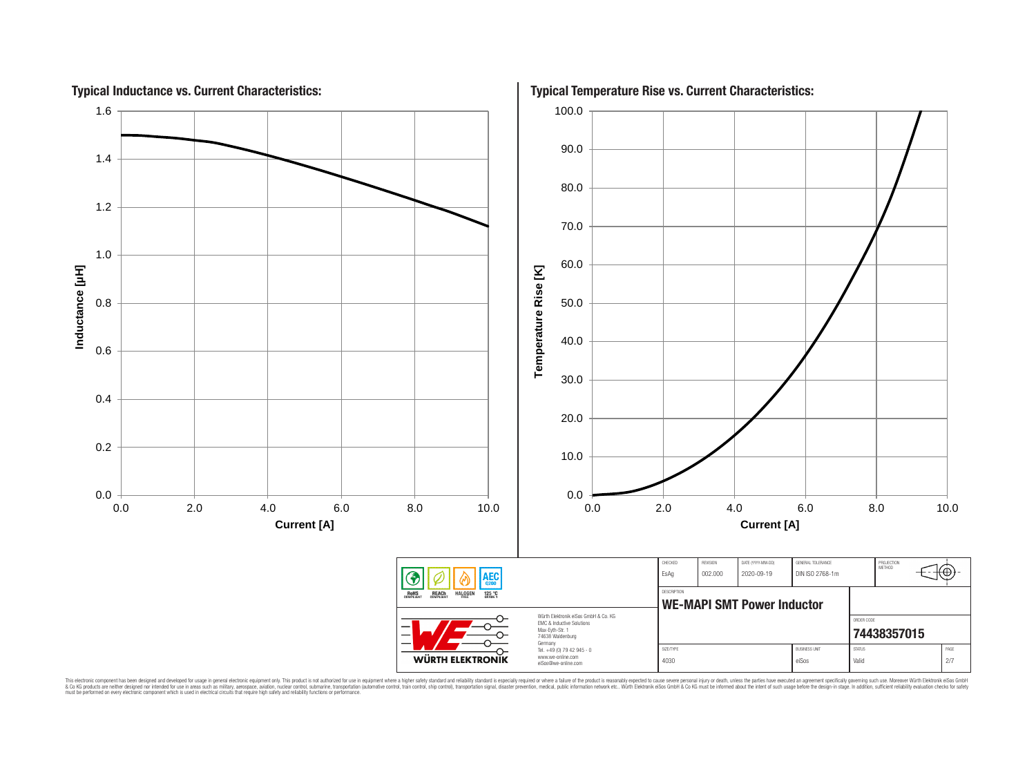

This electronic component has been designed and developed for usage in general electronic equipment only. This product is not authorized for subserved requipment where a higher selection equipment where a higher selection

# **Typical Temperature Rise vs. Current Characteristics:**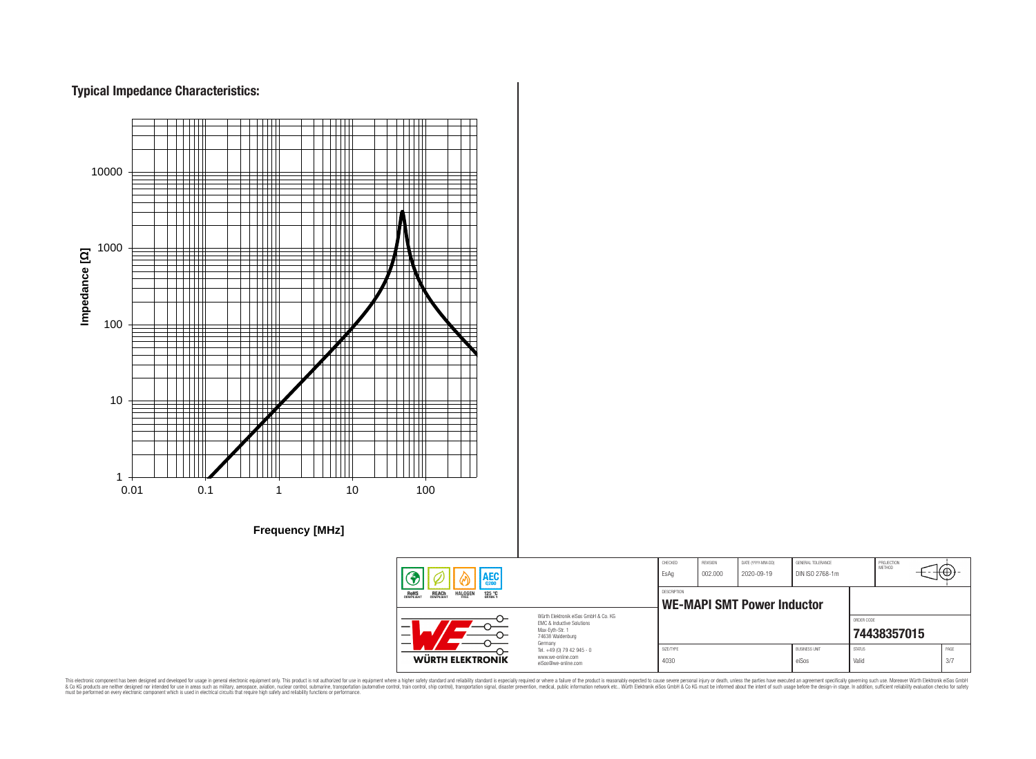# **Typical Impedance Characteristics:**



This electronic component has been designed and developed for usage in general electronic equipment only. This product is not authorized for use in equipment where a higher safely standard and reliability standard si espec & Ook product a label and the membed of the seasuch as marked and as which such a membed and the such assume that income in the seasuch and the simulation and the such assume that include to the such a membed and the such

PROJECTION<br>METHOD

76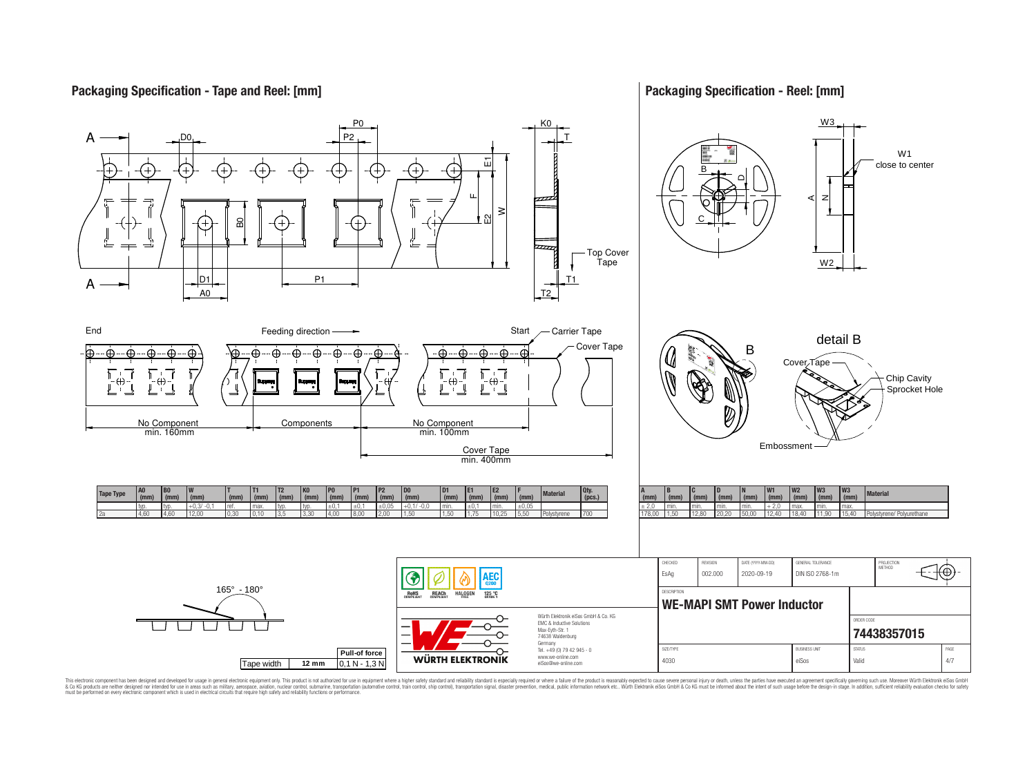## **Packaging Specification - Tape and Reel: [mm]**

## **Packaging Specification - Reel: [mm]**



This electronic component has been designed and developed for usage in general electronic equipment only. This product is not authorized for subserved requipment where a higher selection equipment where a higher selection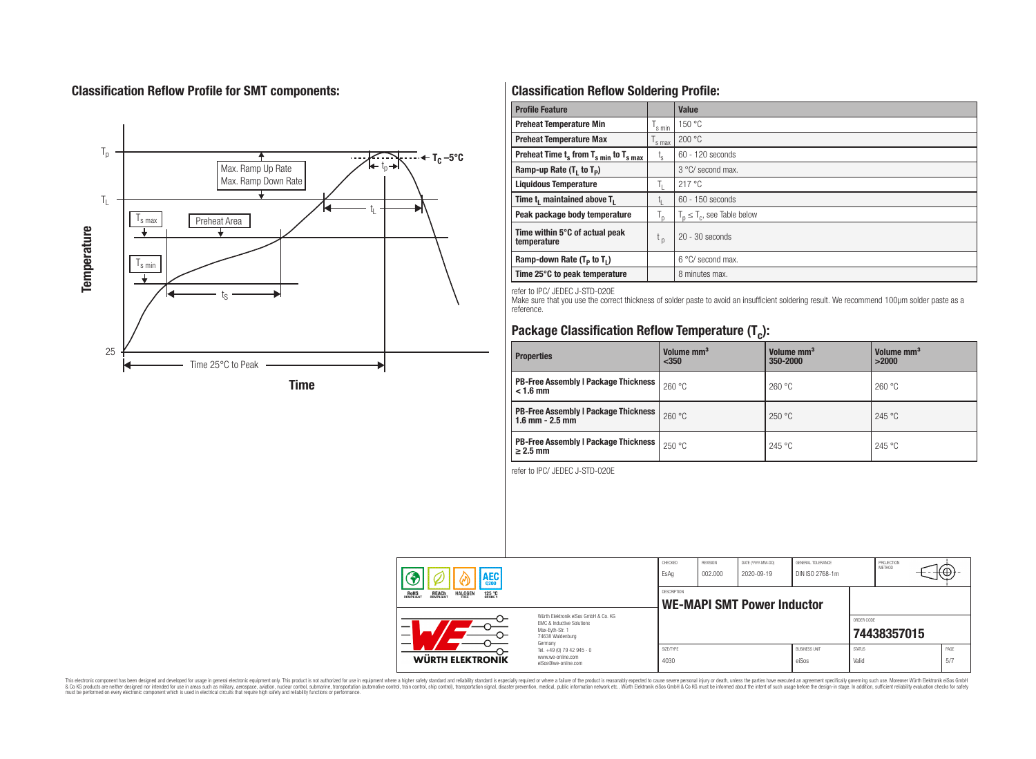# **Classification Reflow Profile for SMT components:**



# **Classification Reflow Soldering Profile:**

| <b>Profile Feature</b>                             |                    | <b>Value</b>                     |
|----------------------------------------------------|--------------------|----------------------------------|
| <b>Preheat Temperature Min</b>                     | <sup>I</sup> s min | 150 °C                           |
| <b>Preheat Temperature Max</b>                     | <sup>I</sup> s max | 200 °C                           |
| Preheat Time $t_s$ from $T_{s min}$ to $T_{s max}$ | $t_{\rm s}$        | $60 - 120$ seconds               |
| Ramp-up Rate $(T_1$ to $T_p$ )                     |                    | 3 °C/ second max.                |
| <b>Liquidous Temperature</b>                       | Ь.                 | 217 °C                           |
| Time $t_i$ maintained above $T_i$                  | կ                  | $60 - 150$ seconds               |
| Peak package body temperature                      | l n                | $T_p \leq T_c$ , see Table below |
| Time within 5°C of actual peak<br>temperature      | $t_{p}$            | $20 - 30$ seconds                |
| Ramp-down Rate $(T_p$ to $T_1$ )                   |                    | $6^{\circ}$ C/ second max.       |
| Time 25°C to peak temperature                      |                    | 8 minutes max.                   |

refer to IPC/ JEDEC J-STD-020E

Make sure that you use the correct thickness of solder paste to avoid an insufficient soldering result. We recommend 100µm solder paste as a reference.

# **Package Classification Reflow Temperature (T<sup>c</sup> ):**

| <b>Properties</b>                                                    | Volume mm <sup>3</sup><br>$350$ | Volume mm <sup>3</sup><br>350-2000 | Volume mm <sup>3</sup><br>>2000 |  |
|----------------------------------------------------------------------|---------------------------------|------------------------------------|---------------------------------|--|
| <b>PB-Free Assembly   Package Thickness  </b><br>$< 1.6$ mm          | 260 °C                          | 260 °C                             | 260 °C                          |  |
| <b>PB-Free Assembly   Package Thickness  </b><br>$1.6$ mm $- 2.5$ mm | 260 °C                          | 250 °C                             | 245 °C                          |  |
| <b>PB-Free Assembly   Package Thickness  </b><br>$\geq$ 2.5 mm       | 250 °C                          | 245 °C                             | 245 °C                          |  |

refer to IPC/ JEDEC J-STD-020E

| AEC<br><b>REACH</b><br>COMPLIANT<br><b>HALOGEN</b><br><b>ROHS</b><br>COMPLIANT<br>125 °C |                                                                                                                     | CHECKED<br>EsAq                                  | REVISION<br>002.000 | DATE (YYYY-MM-DD)<br>2020-09-19 | GENERAL TOLERANCE<br>DIN ISO 2768-1m |                        | PROJECTION<br>METHOD | ⊕            |
|------------------------------------------------------------------------------------------|---------------------------------------------------------------------------------------------------------------------|--------------------------------------------------|---------------------|---------------------------------|--------------------------------------|------------------------|----------------------|--------------|
|                                                                                          |                                                                                                                     | DESCRIPTION<br><b>WE-MAPI SMT Power Inductor</b> |                     |                                 |                                      |                        |                      |              |
|                                                                                          | Würth Flektronik eiSos GmbH & Co. KG<br>EMC & Inductive Solutions<br>Max-Eyth-Str. 1<br>74638 Waldenburg<br>Germany |                                                  |                     |                                 |                                      | ORDER CODE             | 74438357015          |              |
| WÜRTH ELEKTRONIK                                                                         | Tel. +49 (0) 79 42 945 - 0<br>www.we-online.com<br>eiSos@we-online.com                                              | SIZE/TYPE<br>4030                                |                     |                                 | <b>BUSINESS UNIT</b><br>eiSos        | <b>STATUS</b><br>Valid |                      | PAGE<br>.5/7 |

This electronic component has been designed and developed for usage in general electronic equipment only. This product is not authorized for subserved requipment where a higher selection equipment where a higher selection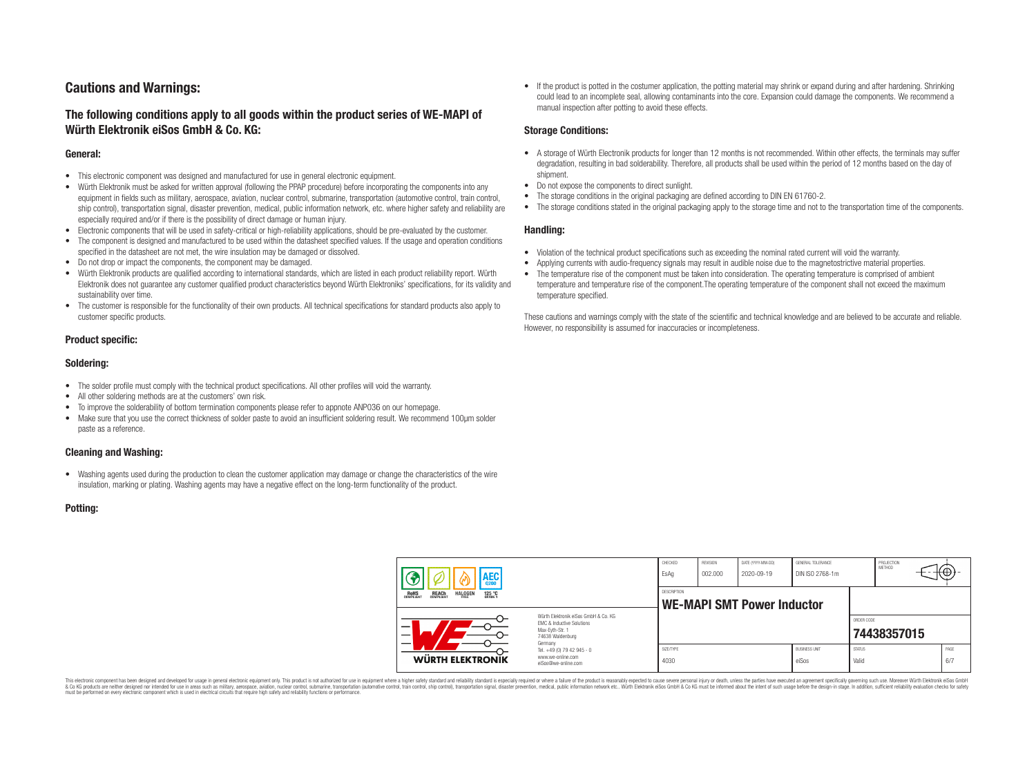## **Cautions and Warnings:**

## **The following conditions apply to all goods within the product series of WE-MAPI of Würth Elektronik eiSos GmbH & Co. KG:**

#### **General:**

- This electronic component was designed and manufactured for use in general electronic equipment.
- Würth Elektronik must be asked for written approval (following the PPAP procedure) before incorporating the components into any equipment in fields such as military, aerospace, aviation, nuclear control, submarine, transportation (automotive control, train control, ship control), transportation signal, disaster prevention, medical, public information network, etc. where higher safety and reliability are especially required and/or if there is the possibility of direct damage or human injury.
- Electronic components that will be used in safety-critical or high-reliability applications, should be pre-evaluated by the customer.
- The component is designed and manufactured to be used within the datasheet specified values. If the usage and operation conditions specified in the datasheet are not met, the wire insulation may be damaged or dissolved.
- Do not drop or impact the components, the component may be damaged.
- Würth Elektronik products are qualified according to international standards, which are listed in each product reliability report. Würth Elektronik does not guarantee any customer qualified product characteristics beyond Würth Elektroniks' specifications, for its validity and sustainability over time.
- The customer is responsible for the functionality of their own products. All technical specifications for standard products also apply to customer specific products.

#### **Product specific:**

#### **Soldering:**

- The solder profile must comply with the technical product specifications. All other profiles will void the warranty.
- All other soldering methods are at the customers' own risk.
- To improve the solderability of bottom termination components please refer to appnote ANP036 on our homepage.
- Make sure that you use the correct thickness of solder paste to avoid an insufficient soldering result. We recommend 100µm solder paste as a reference.

#### **Cleaning and Washing:**

• Washing agents used during the production to clean the customer application may damage or change the characteristics of the wire insulation, marking or plating. Washing agents may have a negative effect on the long-term functionality of the product.

#### **Potting:**

• If the product is potted in the costumer application, the potting material may shrink or expand during and after hardening. Shrinking could lead to an incomplete seal, allowing contaminants into the core. Expansion could damage the components. We recommend a manual inspection after potting to avoid these effects.

#### **Storage Conditions:**

- A storage of Würth Electronik products for longer than 12 months is not recommended. Within other effects, the terminals may suffer degradation, resulting in bad solderability. Therefore, all products shall be used within the period of 12 months based on the day of shipment.
- Do not expose the components to direct sunlight.
- The storage conditions in the original packaging are defined according to DIN EN 61760-2.
- The storage conditions stated in the original packaging apply to the storage time and not to the transportation time of the components.

#### **Handling:**

- Violation of the technical product specifications such as exceeding the nominal rated current will void the warranty.
- Applying currents with audio-frequency signals may result in audible noise due to the magnetostrictive material properties.
- The temperature rise of the component must be taken into consideration. The operating temperature is comprised of ambient temperature and temperature rise of the component.The operating temperature of the component shall not exceed the maximum temperature specified.

These cautions and warnings comply with the state of the scientific and technical knowledge and are believed to be accurate and reliable. However, no responsibility is assumed for inaccuracies or incompleteness.

| AEC                                                                                          |                                                                                                                                                                                               | CHECKED<br>EsAq                                         | <b>REVISION</b><br>002.000 | DATE (YYYY-MM-DD)<br>2020-09-19 | GENERAL TOLERANCE<br>DIN ISO 2768-1m |                        | PROJECTION<br>METHOD |             |
|----------------------------------------------------------------------------------------------|-----------------------------------------------------------------------------------------------------------------------------------------------------------------------------------------------|---------------------------------------------------------|----------------------------|---------------------------------|--------------------------------------|------------------------|----------------------|-------------|
| <b>ROHS</b><br>COMPLIANT<br><b>HALOGEN</b><br>125 °C<br>GRADE 1<br><b>REACH</b><br>COMPLIANT |                                                                                                                                                                                               | <b>DESCRIPTION</b><br><b>WE-MAPI SMT Power Inductor</b> |                            |                                 |                                      |                        |                      |             |
|                                                                                              | Würth Flektronik eiSos GmbH & Co. KG<br>FMC & Inductive Solutions<br>Max-Eyth-Str. 1<br>74638 Waldenburg<br>Germany<br>Tel. +49 (0) 79 42 945 - 0<br>www.we-online.com<br>eiSos@we-online.com |                                                         |                            |                                 |                                      | ORDER CODE             | 74438357015          |             |
| WÜRTH ELEKTRONIK                                                                             |                                                                                                                                                                                               | SIZE/TYPE<br>4030                                       |                            |                                 | <b>BUSINESS UNIT</b><br>eiSos        | <b>STATUS</b><br>Valid |                      | PAGE<br>6/7 |

This electronic component has been designed and developed for usage in general electronic equipment only. This product is not authorized for use in equipment where a higher safety standard and reliability standard si espec & Ook product a label and the membed of the seasuch as marked and as which such a membed and the such assume that income in the seasuch and the simulation and the such assume that include to the such a membed and the such